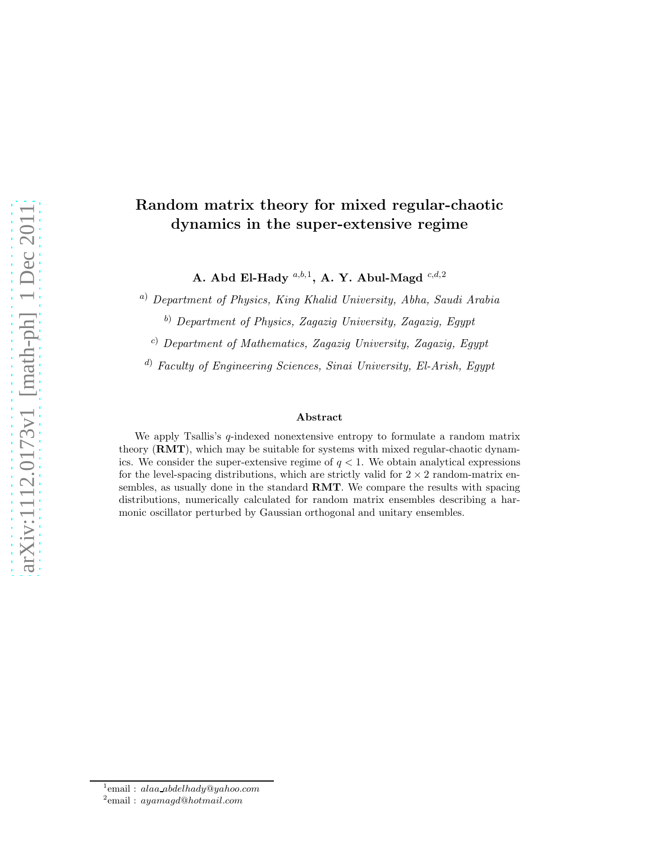# Random matrix theory for mixed regular-chaotic dynamics in the super-extensive regime

A. Abd El-Hady  $^{a,b,1}$ , A. Y. Abul-Magd  $^{c,d,2}$ 

<sup>a</sup>) Department of Physics, King Khalid University, Abha, Saudi Arabia

b) Department of Physics, Zagazig University, Zagazig, Egypt

 $c)$  Department of Mathematics, Zagazig University, Zagazig, Egypt

<sup>d</sup>) Faculty of Engineering Sciences, Sinai University, El-Arish, Egypt

#### Abstract

We apply Tsallis's  $q$ -indexed nonextensive entropy to formulate a random matrix theory (RMT), which may be suitable for systems with mixed regular-chaotic dynamics. We consider the super-extensive regime of  $q < 1$ . We obtain analytical expressions for the level-spacing distributions, which are strictly valid for  $2 \times 2$  random-matrix ensembles, as usually done in the standard RMT. We compare the results with spacing distributions, numerically calculated for random matrix ensembles describing a harmonic oscillator perturbed by Gaussian orthogonal and unitary ensembles.

<sup>&</sup>lt;sup>1</sup>email: alaa\_abdelhady@yahoo.com <sup>2</sup>email: ayamagd@hotmail.com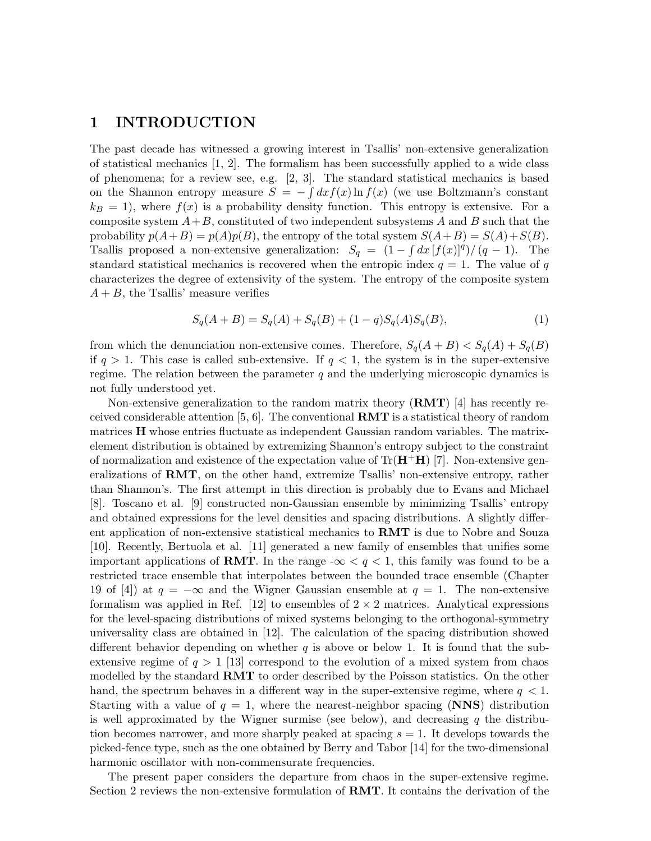## 1 INTRODUCTION

The past decade has witnessed a growing interest in Tsallis' non-extensive generalization of statistical mechanics [1, 2]. The formalism has been successfully applied to a wide class of phenomena; for a review see, e.g. [2, 3]. The standard statistical mechanics is based on the Shannon entropy measure  $S = -\int dx f(x) \ln f(x)$  (we use Boltzmann's constant  $k_B = 1$ ), where  $f(x)$  is a probability density function. This entropy is extensive. For a composite system  $A+B$ , constituted of two independent subsystems A and B such that the probability  $p(A+B) = p(A)p(B)$ , the entropy of the total system  $S(A+B) = S(A) + S(B)$ . Tsallis proposed a non-extensive generalization:  $S_q = (1 - \int dx [f(x)]^q)/(q - 1)$ . The standard statistical mechanics is recovered when the entropic index  $q = 1$ . The value of q characterizes the degree of extensivity of the system. The entropy of the composite system  $A + B$ , the Tsallis' measure verifies

$$
S_q(A+B) = S_q(A) + S_q(B) + (1-q)S_q(A)S_q(B),
$$
\n(1)

from which the denunciation non-extensive comes. Therefore,  $S_q(A + B) < S_q(A) + S_q(B)$ if  $q > 1$ . This case is called sub-extensive. If  $q < 1$ , the system is in the super-extensive regime. The relation between the parameter  $q$  and the underlying microscopic dynamics is not fully understood yet.

Non-extensive generalization to the random matrix theory  $(RMT)$  [4] has recently received considerable attention [5, 6]. The conventional **RMT** is a statistical theory of random matrices H whose entries fluctuate as independent Gaussian random variables. The matrixelement distribution is obtained by extremizing Shannon's entropy subject to the constraint of normalization and existence of the expectation value of  $Tr(\mathbf{H}^{\dagger}\mathbf{H})$  [7]. Non-extensive generalizations of RMT, on the other hand, extremize Tsallis' non-extensive entropy, rather than Shannon's. The first attempt in this direction is probably due to Evans and Michael [8]. Toscano et al. [9] constructed non-Gaussian ensemble by minimizing Tsallis' entropy and obtained expressions for the level densities and spacing distributions. A slightly different application of non-extensive statistical mechanics to RMT is due to Nobre and Souza [10]. Recently, Bertuola et al. [11] generated a new family of ensembles that unifies some important applications of **RMT**. In the range  $-\infty < q < 1$ , this family was found to be a restricted trace ensemble that interpolates between the bounded trace ensemble (Chapter 19 of [4]) at  $q = -\infty$  and the Wigner Gaussian ensemble at  $q = 1$ . The non-extensive formalism was applied in Ref. [12] to ensembles of  $2 \times 2$  matrices. Analytical expressions for the level-spacing distributions of mixed systems belonging to the orthogonal-symmetry universality class are obtained in [12]. The calculation of the spacing distribution showed different behavior depending on whether  $q$  is above or below 1. It is found that the subextensive regime of  $q > 1$  [13] correspond to the evolution of a mixed system from chaos modelled by the standard RMT to order described by the Poisson statistics. On the other hand, the spectrum behaves in a different way in the super-extensive regime, where  $q < 1$ . Starting with a value of  $q = 1$ , where the nearest-neighbor spacing (NNS) distribution is well approximated by the Wigner surmise (see below), and decreasing  $q$  the distribution becomes narrower, and more sharply peaked at spacing  $s = 1$ . It develops towards the picked-fence type, such as the one obtained by Berry and Tabor [14] for the two-dimensional harmonic oscillator with non-commensurate frequencies.

The present paper considers the departure from chaos in the super-extensive regime. Section 2 reviews the non-extensive formulation of RMT. It contains the derivation of the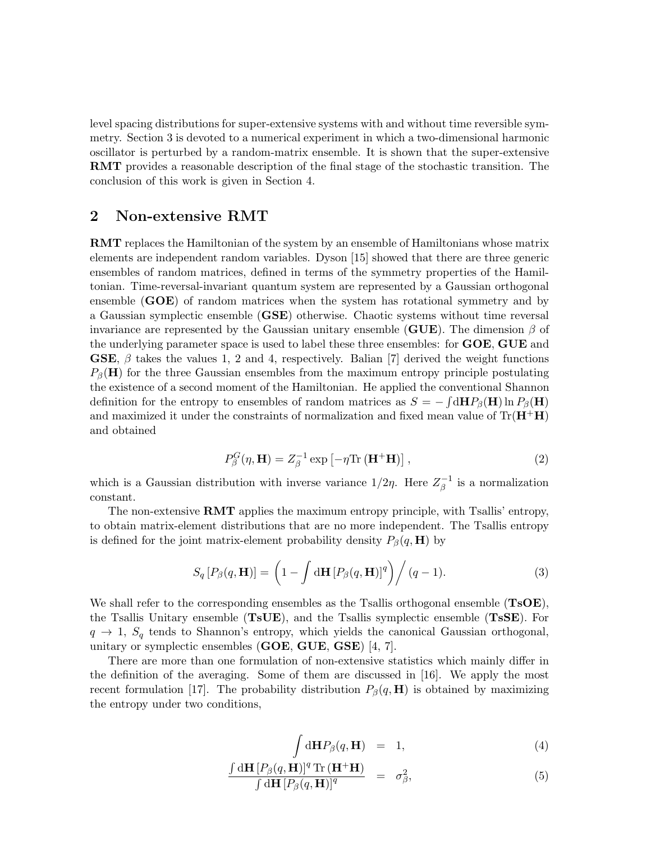level spacing distributions for super-extensive systems with and without time reversible symmetry. Section 3 is devoted to a numerical experiment in which a two-dimensional harmonic oscillator is perturbed by a random-matrix ensemble. It is shown that the super-extensive RMT provides a reasonable description of the final stage of the stochastic transition. The conclusion of this work is given in Section 4.

### 2 Non-extensive RMT

RMT replaces the Hamiltonian of the system by an ensemble of Hamiltonians whose matrix elements are independent random variables. Dyson [15] showed that there are three generic ensembles of random matrices, defined in terms of the symmetry properties of the Hamiltonian. Time-reversal-invariant quantum system are represented by a Gaussian orthogonal ensemble  $(GOE)$  of random matrices when the system has rotational symmetry and by a Gaussian symplectic ensemble (GSE) otherwise. Chaotic systems without time reversal invariance are represented by the Gaussian unitary ensemble (GUE). The dimension  $\beta$  of the underlying parameter space is used to label these three ensembles: for GOE, GUE and GSE,  $\beta$  takes the values 1, 2 and 4, respectively. Balian [7] derived the weight functions  $P_{\beta}(\mathbf{H})$  for the three Gaussian ensembles from the maximum entropy principle postulating the existence of a second moment of the Hamiltonian. He applied the conventional Shannon definition for the entropy to ensembles of random matrices as  $S = -\int d\mathbf{H}P_{\beta}(\mathbf{H}) \ln P_{\beta}(\mathbf{H})$ and maximized it under the constraints of normalization and fixed mean value of  $\text{Tr}(\mathbf{H}^{\dagger} \mathbf{H})$ and obtained

$$
P_{\beta}^{G}(\eta, \mathbf{H}) = Z_{\beta}^{-1} \exp \left[ -\eta \text{Tr} \left( \mathbf{H}^{+} \mathbf{H} \right) \right], \tag{2}
$$

which is a Gaussian distribution with inverse variance  $1/2\eta$ . Here  $Z_{\beta}^{-1}$  $\bar{\beta}^{-1}$  is a normalization constant.

The non-extensive RMT applies the maximum entropy principle, with Tsallis' entropy, to obtain matrix-element distributions that are no more independent. The Tsallis entropy is defined for the joint matrix-element probability density  $P_\beta(q, H)$  by

$$
S_q[P_\beta(q, \mathbf{H})] = \left(1 - \int d\mathbf{H} [P_\beta(q, \mathbf{H})]^q\right) / (q-1).
$$
 (3)

We shall refer to the corresponding ensembles as the Tsallis orthogonal ensemble  $(TsOE)$ , the Tsallis Unitary ensemble (TsUE), and the Tsallis symplectic ensemble (TsSE). For  $q \to 1$ ,  $S_q$  tends to Shannon's entropy, which yields the canonical Gaussian orthogonal, unitary or symplectic ensembles (GOE, GUE, GSE) [4, 7].

There are more than one formulation of non-extensive statistics which mainly differ in the definition of the averaging. Some of them are discussed in [16]. We apply the most recent formulation [17]. The probability distribution  $P_\beta(q, \mathbf{H})$  is obtained by maximizing the entropy under two conditions,

$$
\int d\mathbf{H} P_{\beta}(q, \mathbf{H}) = 1, \qquad (4)
$$

$$
\frac{\int d\mathbf{H} \left[ P_{\beta}(q, \mathbf{H}) \right]^q \text{Tr} \left( \mathbf{H}^+ \mathbf{H} \right)}{\int d\mathbf{H} \left[ P_{\beta}(q, \mathbf{H}) \right]^q} = \sigma_{\beta}^2,
$$
\n(5)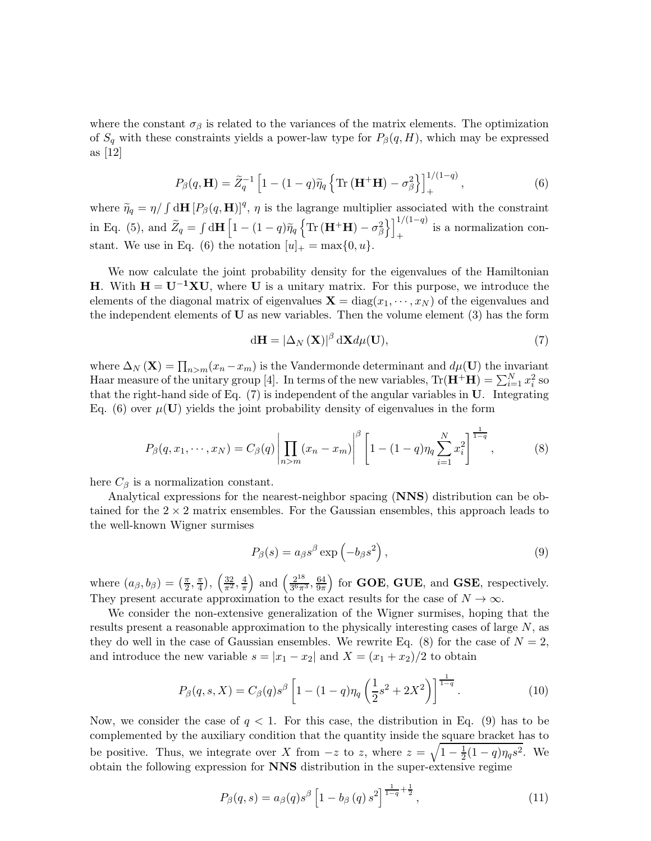where the constant  $\sigma_{\beta}$  is related to the variances of the matrix elements. The optimization of  $S_q$  with these constraints yields a power-law type for  $P_\beta(q, H)$ , which may be expressed as [12]

$$
P_{\beta}(q, \mathbf{H}) = \widetilde{Z}_q^{-1} \left[ 1 - (1 - q)\widetilde{\eta}_q \left\{ \text{Tr} \left( \mathbf{H}^+ \mathbf{H} \right) - \sigma_{\beta}^2 \right\} \right]_+^{1/(1-q)}, \tag{6}
$$

where  $\tilde{\eta}_q = \eta / \int d\mathbf{H} [P_\beta(q, \mathbf{H})]^q$ ,  $\eta$  is the lagrange multiplier associated with the constraint in Eq. (5), and  $\widetilde{Z}_q = \int d\mathbf{H} \left[1 - (1 - q)\widetilde{\eta}_q \left\{ \text{Tr} (\mathbf{H}^+ \mathbf{H}) - \sigma_\beta^2 \right. \right]$  $1^{1/(1-q)}$  $\begin{bmatrix} 1 & 1 \\ 1 & 1 \end{bmatrix}$  is a normalization constant. We use in Eq. (6) the notation  $[u]_+ = \max\{0, u\}.$ 

We now calculate the joint probability density for the eigenvalues of the Hamiltonian H. With  $H = U^{-1}XU$ , where U is a unitary matrix. For this purpose, we introduce the elements of the diagonal matrix of eigenvalues  $\mathbf{X} = \text{diag}(x_1, \dots, x_N)$  of the eigenvalues and the independent elements of  **as new variables. Then the volume element**  $(3)$  **has the form** 

$$
d\mathbf{H} = \left| \Delta_N \left( \mathbf{X} \right) \right|^\beta d\mathbf{X} d\mu(\mathbf{U}),\tag{7}
$$

where  $\Delta_N(\mathbf{X}) = \prod_{n>m} (x_n - x_m)$  is the Vandermonde determinant and  $d\mu(\mathbf{U})$  the invariant Haar measure of the unitary group [4]. In terms of the new variables,  $Tr(\mathbf{H}^+ \mathbf{H}) = \sum_{i=1}^{N} x_i^2$  so that the right-hand side of Eq.  $(7)$  is independent of the angular variables in U. Integrating Eq. (6) over  $\mu(\mathbf{U})$  yields the joint probability density of eigenvalues in the form

$$
P_{\beta}(q, x_1, \dots, x_N) = C_{\beta}(q) \left| \prod_{n > m} (x_n - x_m) \right|^{\beta} \left[ 1 - (1 - q) \eta_q \sum_{i=1}^N x_i^2 \right]^{\frac{1}{1 - q}}, \tag{8}
$$

here  $C_{\beta}$  is a normalization constant.

Analytical expressions for the nearest-neighbor spacing (NNS) distribution can be obtained for the  $2 \times 2$  matrix ensembles. For the Gaussian ensembles, this approach leads to the well-known Wigner surmises

$$
P_{\beta}(s) = a_{\beta}s^{\beta}\exp\left(-b_{\beta}s^2\right),\tag{9}
$$

where  $(a_{\beta}, b_{\beta}) = \left(\frac{\pi}{2}\right)$  $\frac{\pi}{2}, \frac{\pi}{4}$  $(\frac{\pi}{4}), (\frac{32}{\pi^2}, \frac{4}{\pi})$ π ) and  $\left(\frac{2^{18}}{36\pi}\right)$  $\frac{2^{18}}{3^6 \pi^3}, \frac{64}{9 \pi}$  $9\pi$ ) for GOE, GUE, and GSE, respectively. They present accurate approximation to the exact results for the case of  $N \to \infty$ .

We consider the non-extensive generalization of the Wigner surmises, hoping that the results present a reasonable approximation to the physically interesting cases of large N, as they do well in the case of Gaussian ensembles. We rewrite Eq. (8) for the case of  $N = 2$ , and introduce the new variable  $s = |x_1 - x_2|$  and  $X = (x_1 + x_2)/2$  to obtain

$$
P_{\beta}(q,s,X) = C_{\beta}(q)s^{\beta} \left[ 1 - (1-q)\eta_q \left( \frac{1}{2}s^2 + 2X^2 \right) \right]^{\frac{1}{1-q}}.
$$
 (10)

Now, we consider the case of  $q < 1$ . For this case, the distribution in Eq. (9) has to be complemented by the auxiliary condition that the quantity inside the square bracket has to be positive. Thus, we integrate over X from  $-z$  to z, where  $z = \sqrt{1 - \frac{1}{2}}$  $\frac{1}{2}(1-q)\eta_q s^2$ . We obtain the following expression for NNS distribution in the super-extensive regime

$$
P_{\beta}(q,s) = a_{\beta}(q)s^{\beta} \left[1 - b_{\beta}(q) s^2\right]^{\frac{1}{1-q} + \frac{1}{2}}, \qquad (11)
$$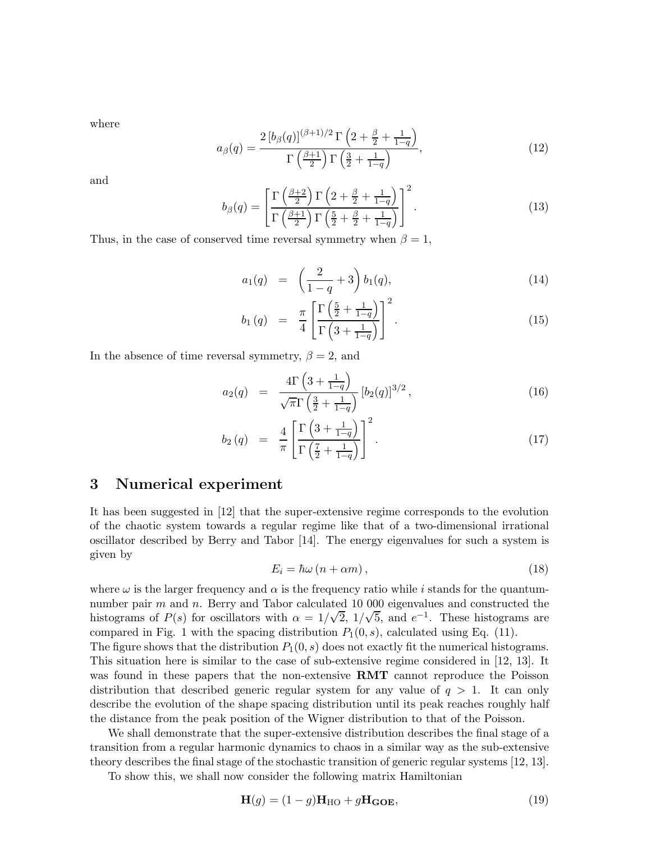where

$$
a_{\beta}(q) = \frac{2\left[b_{\beta}(q)\right]^{(\beta+1)/2} \Gamma\left(2 + \frac{\beta}{2} + \frac{1}{1-q}\right)}{\Gamma\left(\frac{\beta+1}{2}\right) \Gamma\left(\frac{3}{2} + \frac{1}{1-q}\right)},\tag{12}
$$

and

$$
b_{\beta}(q) = \left[\frac{\Gamma\left(\frac{\beta+2}{2}\right)\Gamma\left(2+\frac{\beta}{2}+\frac{1}{1-q}\right)}{\Gamma\left(\frac{\beta+1}{2}\right)\Gamma\left(\frac{5}{2}+\frac{\beta}{2}+\frac{1}{1-q}\right)}\right]^2.
$$
\n(13)

Thus, in the case of conserved time reversal symmetry when  $\beta = 1$ ,

$$
a_1(q) = \left(\frac{2}{1-q} + 3\right) b_1(q), \tag{14}
$$

$$
b_1(q) = \frac{\pi}{4} \left[ \frac{\Gamma\left(\frac{5}{2} + \frac{1}{1-q}\right)}{\Gamma\left(3 + \frac{1}{1-q}\right)} \right]^2.
$$
 (15)

In the absence of time reversal symmetry,  $\beta = 2$ , and

$$
a_2(q) = \frac{4\Gamma\left(3 + \frac{1}{1-q}\right)}{\sqrt{\pi}\Gamma\left(\frac{3}{2} + \frac{1}{1-q}\right)} \left[b_2(q)\right]^{3/2},\tag{16}
$$

$$
b_2(q) = \frac{4}{\pi} \left[ \frac{\Gamma\left(3 + \frac{1}{1-q}\right)}{\Gamma\left(\frac{7}{2} + \frac{1}{1-q}\right)} \right]^2.
$$
 (17)

### 3 Numerical experiment

It has been suggested in [12] that the super-extensive regime corresponds to the evolution of the chaotic system towards a regular regime like that of a two-dimensional irrational oscillator described by Berry and Tabor [14]. The energy eigenvalues for such a system is given by

$$
E_i = \hbar\omega\left(n + \alpha m\right),\tag{18}
$$

where  $\omega$  is the larger frequency and  $\alpha$  is the frequency ratio while i stands for the quantumnumber pair  $m$  and  $n$ . Berry and Tabor calculated 10 000 eigenvalues and constructed the histograms of  $P(s)$  for oscillators with  $\alpha = 1/\sqrt{2}$ ,  $1/\sqrt{5}$ , and  $e^{-1}$ . These histograms are compared in Fig. 1 with the spacing distribution  $P_1(0, s)$ , calculated using Eq. (11).

The figure shows that the distribution  $P_1(0, s)$  does not exactly fit the numerical histograms. This situation here is similar to the case of sub-extensive regime considered in [12, 13]. It was found in these papers that the non-extensive **RMT** cannot reproduce the Poisson distribution that described generic regular system for any value of  $q > 1$ . It can only describe the evolution of the shape spacing distribution until its peak reaches roughly half the distance from the peak position of the Wigner distribution to that of the Poisson.

We shall demonstrate that the super-extensive distribution describes the final stage of a transition from a regular harmonic dynamics to chaos in a similar way as the sub-extensive theory describes the final stage of the stochastic transition of generic regular systems [12, 13].

To show this, we shall now consider the following matrix Hamiltonian

$$
\mathbf{H}(g) = (1 - g)\mathbf{H}_{\text{HO}} + g\mathbf{H}_{\text{GOE}},\tag{19}
$$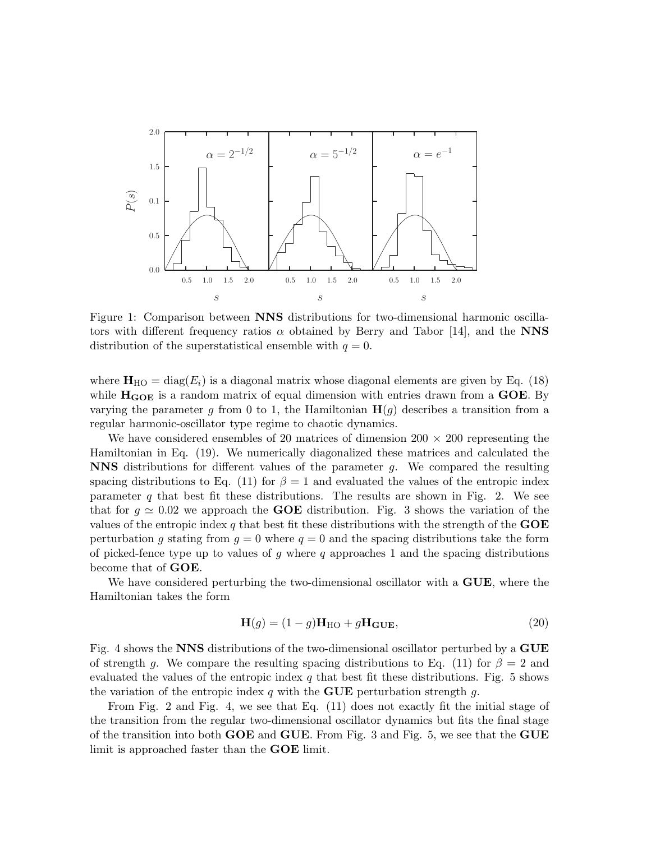

Figure 1: Comparison between NNS distributions for two-dimensional harmonic oscillators with different frequency ratios  $\alpha$  obtained by Berry and Tabor [14], and the NNS distribution of the superstatistical ensemble with  $q = 0$ .

where  $\mathbf{H}_{\text{HO}} = \text{diag}(E_i)$  is a diagonal matrix whose diagonal elements are given by Eq. (18) while  $H_{GOE}$  is a random matrix of equal dimension with entries drawn from a  $GOE$ . By varying the parameter g from 0 to 1, the Hamiltonian  $H(g)$  describes a transition from a regular harmonic-oscillator type regime to chaotic dynamics.

We have considered ensembles of 20 matrices of dimension  $200 \times 200$  representing the Hamiltonian in Eq. (19). We numerically diagonalized these matrices and calculated the NNS distributions for different values of the parameter g. We compared the resulting spacing distributions to Eq. (11) for  $\beta = 1$  and evaluated the values of the entropic index parameter q that best fit these distributions. The results are shown in Fig. 2. We see that for  $g \approx 0.02$  we approach the **GOE** distribution. Fig. 3 shows the variation of the values of the entropic index q that best fit these distributions with the strength of the  $GOE$ perturbation g stating from  $q = 0$  where  $q = 0$  and the spacing distributions take the form of picked-fence type up to values of g where q approaches 1 and the spacing distributions become that of GOE.

We have considered perturbing the two-dimensional oscillator with a **GUE**, where the Hamiltonian takes the form

$$
\mathbf{H}(g) = (1 - g)\mathbf{H}_{\text{HO}} + g\mathbf{H}_{\text{GUE}},\tag{20}
$$

Fig. 4 shows the NNS distributions of the two-dimensional oscillator perturbed by a GUE of strength g. We compare the resulting spacing distributions to Eq. (11) for  $\beta = 2$  and evaluated the values of the entropic index q that best fit these distributions. Fig. 5 shows the variation of the entropic index q with the **GUE** perturbation strength q.

From Fig. 2 and Fig. 4, we see that Eq. (11) does not exactly fit the initial stage of the transition from the regular two-dimensional oscillator dynamics but fits the final stage of the transition into both GOE and GUE. From Fig. 3 and Fig. 5, we see that the GUE limit is approached faster than the GOE limit.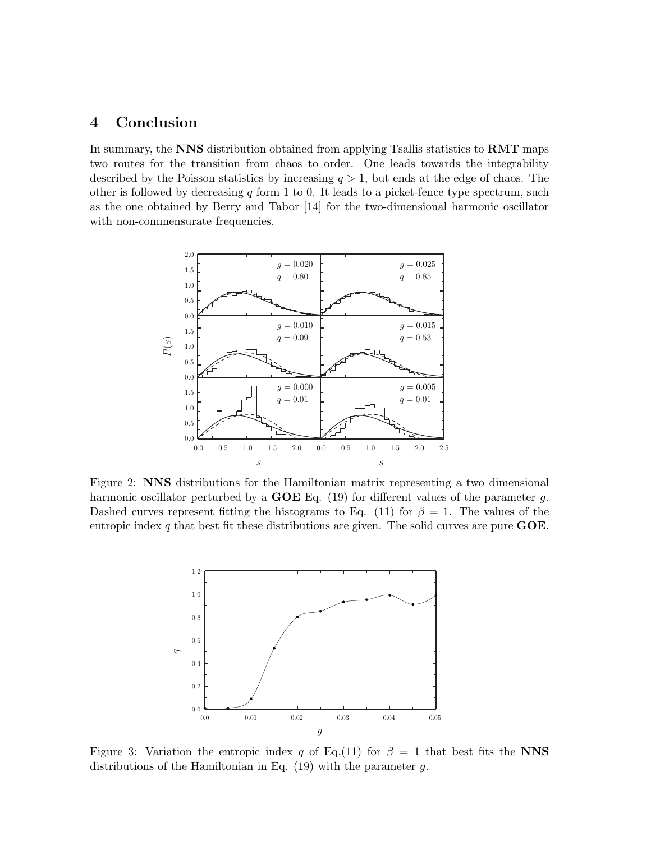# 4 Conclusion

In summary, the NNS distribution obtained from applying Tsallis statistics to RMT maps two routes for the transition from chaos to order. One leads towards the integrability described by the Poisson statistics by increasing  $q > 1$ , but ends at the edge of chaos. The other is followed by decreasing  $q$  form 1 to 0. It leads to a picket-fence type spectrum, such as the one obtained by Berry and Tabor [14] for the two-dimensional harmonic oscillator with non-commensurate frequencies.



Figure 2: NNS distributions for the Hamiltonian matrix representing a two dimensional harmonic oscillator perturbed by a  $GOE$  Eq. (19) for different values of the parameter g. Dashed curves represent fitting the histograms to Eq. (11) for  $\beta = 1$ . The values of the entropic index q that best fit these distributions are given. The solid curves are pure  $\angle GOE$ .



Figure 3: Variation the entropic index q of Eq.(11) for  $\beta = 1$  that best fits the NNS distributions of the Hamiltonian in Eq. (19) with the parameter g.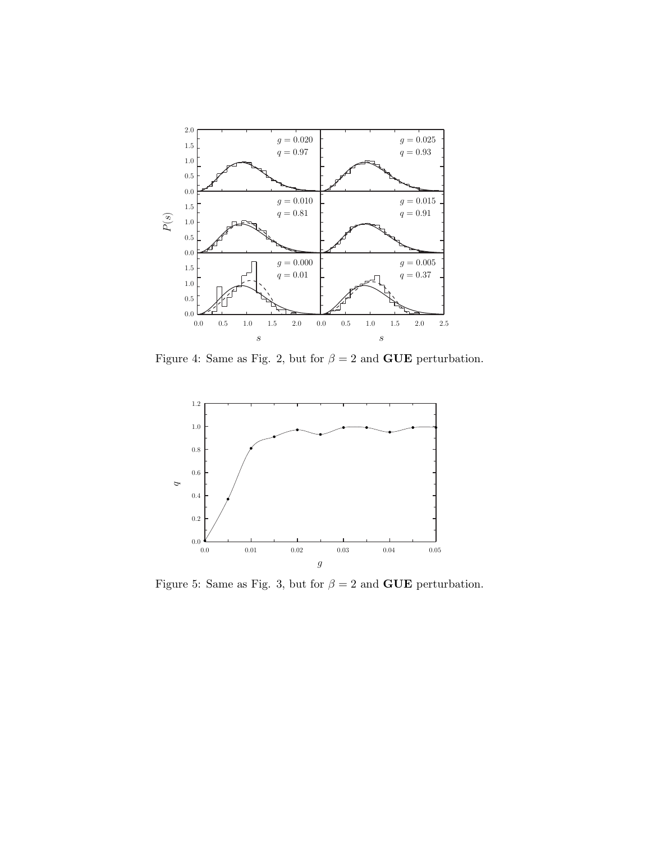

Figure 4: Same as Fig. 2, but for  $\beta = 2$  and **GUE** perturbation.



Figure 5: Same as Fig. 3, but for  $\beta = 2$  and **GUE** perturbation.